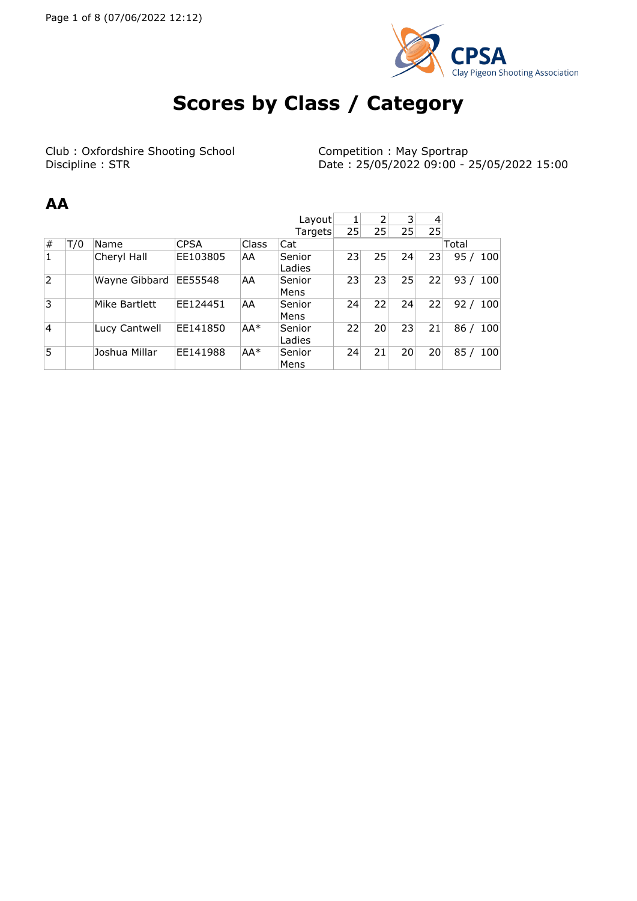

# **Scores by Class / Category**

Club : Oxfordshire Shooting School Competition : May Sportrap<br> Discipline : STR Date : 25/05/2022 09:00 - 2

Date: 25/05/2022 09:00 - 25/05/2022 15:00

 $\sim$   $\sim$   $\sim$   $\sim$ 

#### **AA**

|                |     |               |             |              | Layout           |                 |                 | 31              | 4  |       |     |
|----------------|-----|---------------|-------------|--------------|------------------|-----------------|-----------------|-----------------|----|-------|-----|
|                |     |               |             |              | Targets          | 25 <sub>1</sub> | 25 <sup>1</sup> | 25 <sub>1</sub> | 25 |       |     |
| #              | T/0 | Name          | <b>CPSA</b> | <b>Class</b> | Cat              |                 |                 |                 |    | Total |     |
| $\mathbf{1}$   |     | Cheryl Hall   | EE103805    | AA           | Senior<br>Ladies | 23              | 25              | 24              | 23 | 95/   | 100 |
| $\overline{2}$ |     | Wayne Gibbard | EE55548     | AA           | Senior<br>Mens   | 23              | 23              | 25              | 22 | 93/   | 100 |
| 3              |     | Mike Bartlett | EE124451    | AA           | Senior<br>Mens   | 24              | 22              | 24              | 22 | 92/   | 100 |
| 4              |     | Lucy Cantwell | EE141850    | AA*          | Senior<br>Ladies | 22              | 20 <sup>1</sup> | 23 <sup>1</sup> | 21 | 86/   | 100 |
| 15             |     | Joshua Millar | EE141988    | $AA*$        | Senior<br>Mens   | 24              | 21              | 20 <sup>1</sup> | 20 | 85/   | 100 |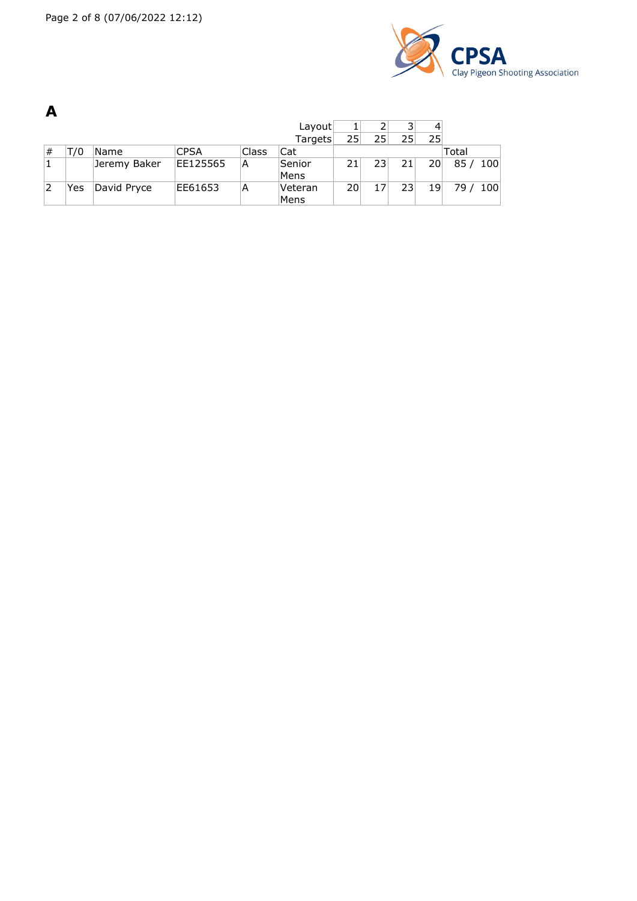

|   |     |              |             |       | Layout          |                 |                 | 31 | 4               |       |       |
|---|-----|--------------|-------------|-------|-----------------|-----------------|-----------------|----|-----------------|-------|-------|
|   |     |              |             |       | Targets         | 25              | 25 <sub>1</sub> | 25 | 25              |       |       |
| # | T/0 | Name         | <b>CPSA</b> | Class | Cat             |                 |                 |    |                 | Total |       |
|   |     | Jeremy Baker | EE125565    | А     | Senior<br>Mens  | 21              | 23 <sup>1</sup> | 21 | 20 <sup>1</sup> | 85/   | - 100 |
|   | Yes | David Pryce  | EE61653     | Α     | Veteran<br>Mens | 20 <sup>1</sup> |                 | 23 | 19              | 79 /  | 100   |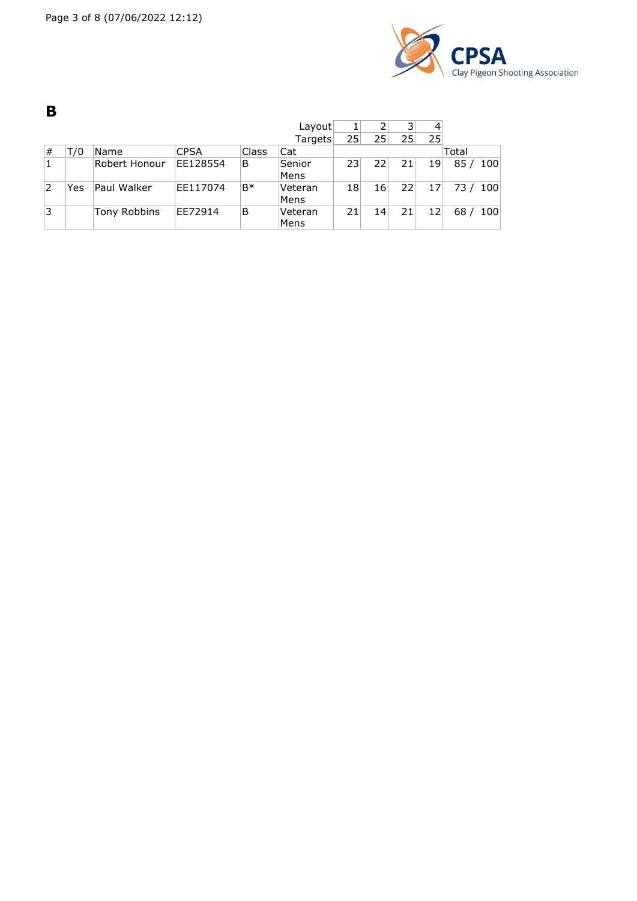

**B** Layout 1 2 3 4<br>Targets 25 25 25 25 Targets<sup>25</sup> # T/0 Name CPSA Class Cat Total 1 Robert Honour EE128554 B Senior Mens<br>Veteran 23 22 21 19 85 / 100 2 Yes Paul Walker  $EE117074 B*$ Mens<br>Veteran 18 16 22 17 73 / 100 3 Tony Robbins EE72914 B Mens 21 14 21 12 68 / 100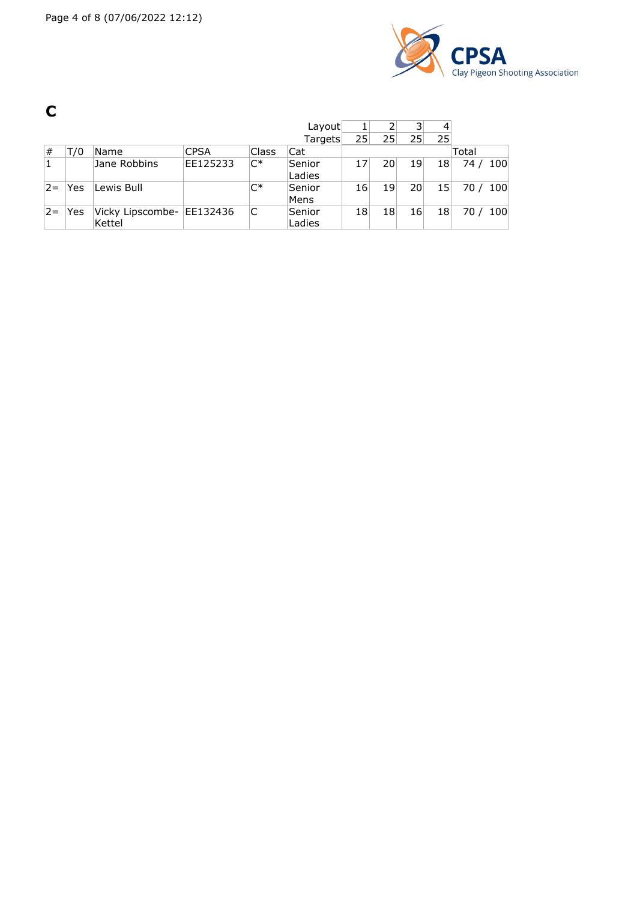

**C**

|              |     |                            |             |              | Layout           | 1  |                 |    | 4               |        |          |
|--------------|-----|----------------------------|-------------|--------------|------------------|----|-----------------|----|-----------------|--------|----------|
|              |     |                            |             |              | Targets          | 25 | 25 <sub>1</sub> | 25 | 25 <sub>1</sub> |        |          |
| #            | T/0 | Name                       | <b>CPSA</b> | <b>Class</b> | Cat              |    |                 |    |                 | Total  |          |
| $\mathbf{1}$ |     | Jane Robbins               | EE125233    | $C^*$        | Senior<br>Ladies | 17 | 20 <sup>1</sup> | 19 | 18              |        | 74 / 100 |
| $2 =$        | Yes | Lewis Bull                 |             | $C^*$        | Senior<br>Mens   | 16 | 19              | 20 | 15 <sub>l</sub> | 70/100 |          |
| $2 =$        | Yes | Vicky Lipscombe-<br>Kettel | EE132436    | C            | Senior<br>Ladies | 18 | 18              | 16 | 18              |        | 70/100   |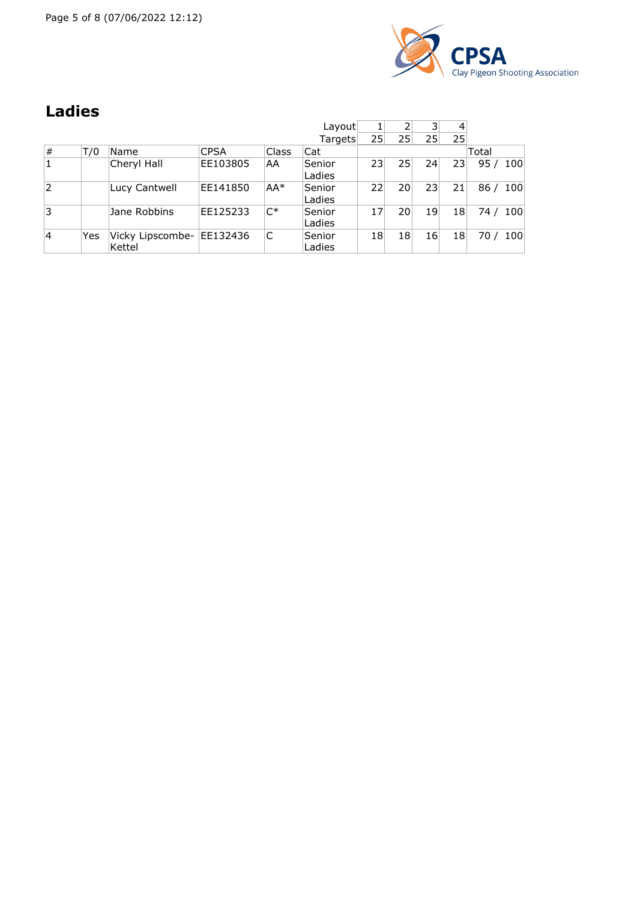Page 5 of 8 (07/06/2022 12:12)



## **Ladies**

|                |     |                            |             |        | Layout<br>Targets | 25 | 2<br>25 | 3<br>25 | 4<br>25 |             |
|----------------|-----|----------------------------|-------------|--------|-------------------|----|---------|---------|---------|-------------|
| #              | T/0 | Name                       | <b>CPSA</b> | Class  | Cat               |    |         |         |         | Total       |
| $\mathbf{1}$   |     | Cheryl Hall                | EE103805    | AA     | Senior<br>Ladies  | 23 | 25      | 24      | 23      | 95/100      |
| $\overline{2}$ |     | Lucy Cantwell              | EE141850    | $AA^*$ | Senior<br>Ladies  | 22 | 20      | 23      | 21      | 86/100      |
| 3              |     | Jane Robbins               | EE125233    | $C^*$  | Senior<br>Ladies  | 17 | 20      | 19      | 18      | 74 / 100    |
| 4              | Yes | Vicky Lipscombe-<br>Kettel | EE132436    | C      | Senior<br>Ladies  | 18 | 18      | 16      | 18      | 100<br>70 / |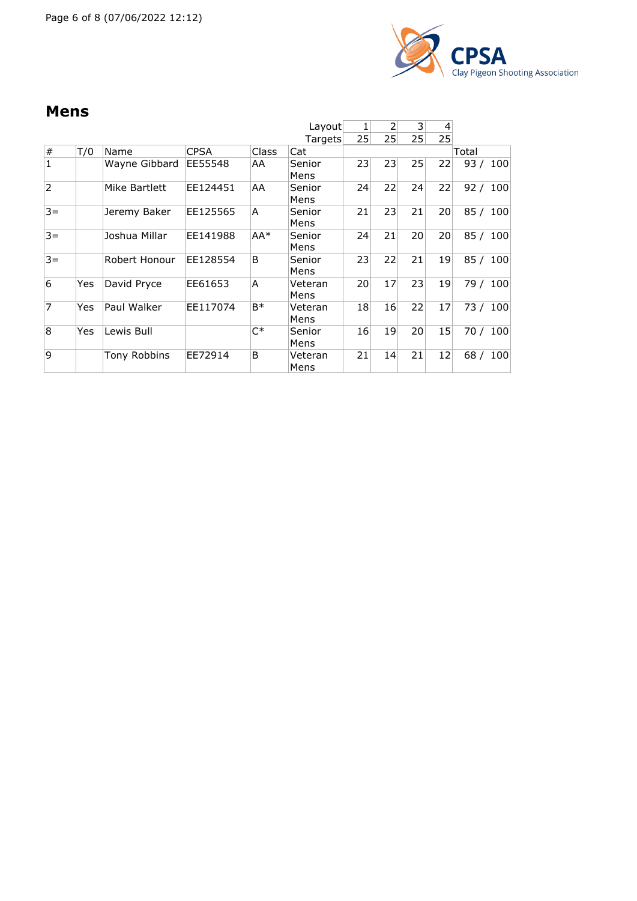

### **Mens**

|                |     |               |             |                | Layout          |    | 2               | 3               | 4  |          |          |
|----------------|-----|---------------|-------------|----------------|-----------------|----|-----------------|-----------------|----|----------|----------|
|                |     |               |             |                | Targets         | 25 | 25 <sub>1</sub> | 25 <sub>1</sub> | 25 |          |          |
| #              | T/0 | Name          | <b>CPSA</b> | Class          | Cat             |    |                 |                 |    | Total    |          |
| $\mathbf{1}$   |     | Wayne Gibbard | EE55548     | AA             | Senior<br>Mens  | 23 | 23              | 25              | 22 | 93/      | 100      |
| $\overline{2}$ |     | Mike Bartlett | EE124451    | AA             | Senior<br>Mens  | 24 | 22              | 24              | 22 | 92 / 100 |          |
| $3 =$          |     | Jeremy Baker  | EE125565    | A              | Senior<br>Mens  | 21 | 23              | 21              | 20 | 85/      | 100      |
| $3 =$          |     | Joshua Millar | EE141988    | AA*            | Senior<br>Mens  | 24 | 21              | 20              | 20 | 85/      | 100      |
| $3 =$          |     | Robert Honour | EE128554    | B              | Senior<br>Mens  | 23 | 22              | 21              | 19 | 85 /     | 100      |
| 6              | Yes | David Pryce   | EE61653     | A              | Veteran<br>Mens | 20 | 17              | 23              | 19 |          | 79 / 100 |
| 7              | Yes | Paul Walker   | EE117074    | B <sup>*</sup> | Veteran<br>Mens | 18 | 16              | 22              | 17 |          | 73 / 100 |
| 8              | Yes | Lewis Bull    |             | $C^*$          | Senior<br>Mens  | 16 | 19              | 20 <sup>1</sup> | 15 | 70 /     | 100      |
| ۱q             |     | Tony Robbins  | EE72914     | B              | Veteran<br>Mens | 21 | 14              | 21              | 12 | 68/      | 100      |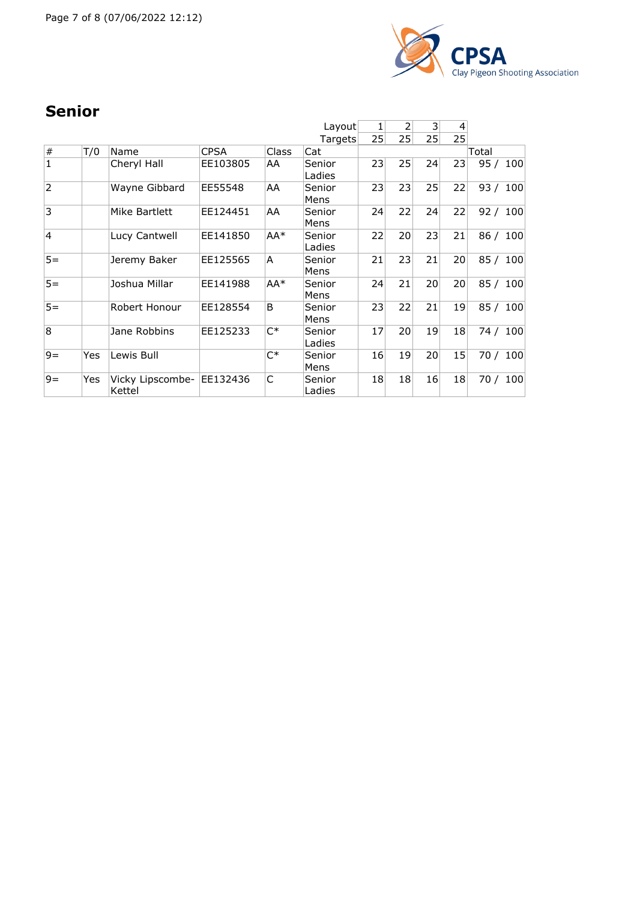

## **Senior**

|                |     |                            |             |       | Layout           | 1  | 2  | 3  | 4  |          |     |
|----------------|-----|----------------------------|-------------|-------|------------------|----|----|----|----|----------|-----|
|                |     |                            |             |       | Targets          | 25 | 25 | 25 | 25 |          |     |
| $\#$           | T/0 | Name                       | <b>CPSA</b> | Class | Cat              |    |    |    |    | Total    |     |
| $\mathbf{1}$   |     | Cheryl Hall                | EE103805    | AA    | Senior<br>Ladies | 23 | 25 | 24 | 23 | 95/100   |     |
| $\overline{2}$ |     | Wayne Gibbard              | EE55548     | AA    | Senior<br>Mens   | 23 | 23 | 25 | 22 | 93 / 100 |     |
| $\overline{3}$ |     | Mike Bartlett              | EE124451    | AA    | Senior<br>Mens   | 24 | 22 | 24 | 22 | 92 / 100 |     |
| $\overline{4}$ |     | Lucy Cantwell              | EE141850    | AA*   | Senior<br>Ladies | 22 | 20 | 23 | 21 | 86/      | 100 |
| $5=$           |     | Jeremy Baker               | EE125565    | A     | Senior<br>Mens   | 21 | 23 | 21 | 20 | 85 / 100 |     |
| $5=$           |     | Joshua Millar              | EE141988    | AA*   | Senior<br>Mens   | 24 | 21 | 20 | 20 | 85/      | 100 |
| $5=$           |     | Robert Honour              | EE128554    | B     | Senior<br>Mens   | 23 | 22 | 21 | 19 | 85/      | 100 |
| $\overline{8}$ |     | Jane Robbins               | EE125233    | $C^*$ | Senior<br>Ladies | 17 | 20 | 19 | 18 | 74 / 100 |     |
| $9 =$          | Yes | Lewis Bull                 |             | $C^*$ | Senior<br>Mens   | 16 | 19 | 20 | 15 | 70 / 100 |     |
| $9 =$          | Yes | Vicky Lipscombe-<br>Kettel | EE132436    | C     | Senior<br>Ladies | 18 | 18 | 16 | 18 | 70/      | 100 |